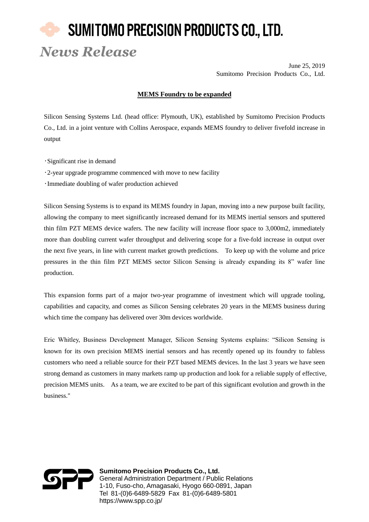## SUMITOMO PRECISION PRODUCTS CO., LTD. *News Release*

June 25, 2019 Sumitomo Precision Products Co., Ltd.

## **MEMS Foundry to be expanded**

Silicon Sensing Systems Ltd. (head office: Plymouth, UK), established by Sumitomo Precision Products Co., Ltd. in a joint venture with Collins Aerospace, expands MEMS foundry to deliver fivefold increase in output

- •Significant rise in demand
- •2-year upgrade programme commenced with move to new facility
- •Immediate doubling of wafer production achieved

Silicon Sensing Systems is to expand its MEMS foundry in Japan, moving into a new purpose built facility, allowing the company to meet significantly increased demand for its MEMS inertial sensors and sputtered thin film PZT MEMS device wafers. The new facility will increase floor space to 3,000m2, immediately more than doubling current wafer throughput and delivering scope for a five-fold increase in output over the next five years, in line with current market growth predictions. To keep up with the volume and price pressures in the thin film PZT MEMS sector Silicon Sensing is already expanding its 8" wafer line production.

This expansion forms part of a major two-year programme of investment which will upgrade tooling, capabilities and capacity, and comes as Silicon Sensing celebrates 20 years in the MEMS business during which time the company has delivered over 30m devices worldwide.

Eric Whitley, Business Development Manager, Silicon Sensing Systems explains: "Silicon Sensing is known for its own precision MEMS inertial sensors and has recently opened up its foundry to fabless customers who need a reliable source for their PZT based MEMS devices. In the last 3 years we have seen strong demand as customers in many markets ramp up production and look for a reliable supply of effective, precision MEMS units. As a team, we are excited to be part of this significant evolution and growth in the business."



**Sumitomo Precision Products Co., Ltd.** General Administration Department / Public Relations 1-10, Fuso-cho, Amagasaki, Hyogo 660-0891, Japan Tel 81-(0)6-6489-5829 Fax 81-(0)6-6489-5801 https://www.spp.co.jp/